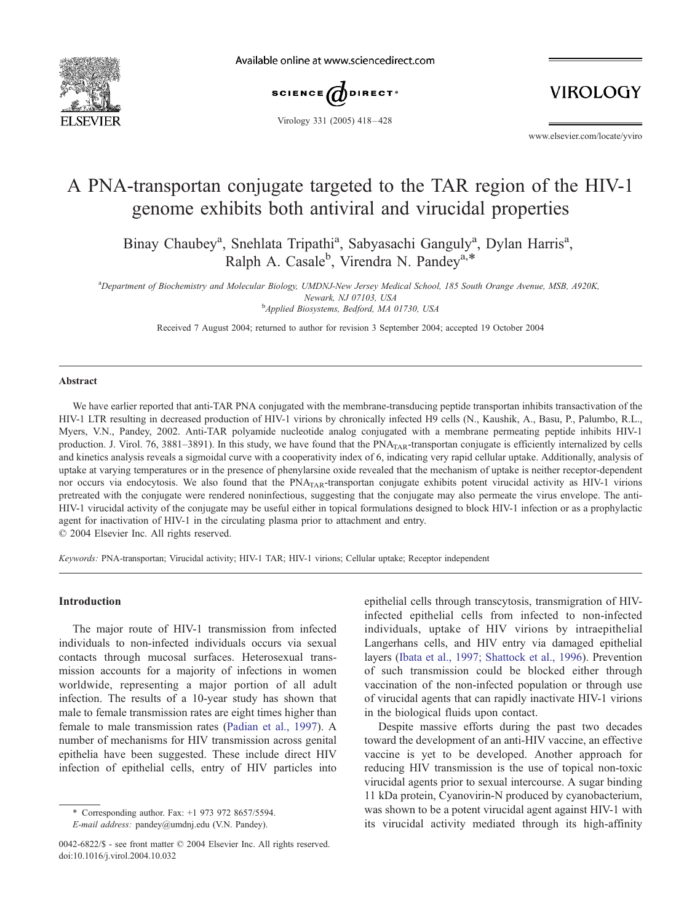

Available online at www.sciencedirect.com



Virology 331 (2005) 418 – 428

**VIROLOGY** 

www.elsevier.com/locate/yviro

# A PNA-transportan conjugate targeted to the TAR region of the HIV-1 genome exhibits both antiviral and virucidal properties

Binay Chaubey<sup>a</sup>, Snehlata Tripathi<sup>a</sup>, Sabyasachi Ganguly<sup>a</sup>, Dylan Harris<sup>a</sup>, Ralph A. Casale<sup>b</sup>, Virendra N. Pandey<sup>a,\*</sup>

<sup>a</sup>*Department of Biochemistry and Molecular Biology, UMDNJ-New Jersey Medical School, 185 South Orange Avenue, MSB, A920K, Newark, NJ 07103, USA* b *Applied Biosystems, Bedford, MA 01730, USA*

Received 7 August 2004; returned to author for revision 3 September 2004; accepted 19 October 2004

#### Abstract

We have earlier reported that anti-TAR PNA conjugated with the membrane-transducing peptide transportan inhibits transactivation of the HIV-1 LTR resulting in decreased production of HIV-1 virions by chronically infected H9 cells (N., Kaushik, A., Basu, P., Palumbo, R.L., Myers, V.N., Pandey, 2002. Anti-TAR polyamide nucleotide analog conjugated with a membrane permeating peptide inhibits HIV-1 production. J. Virol. 76, 3881-3891). In this study, we have found that the PNA<sub>TAR</sub>-transportan conjugate is efficiently internalized by cells and kinetics analysis reveals a sigmoidal curve with a cooperativity index of 6, indicating very rapid cellular uptake. Additionally, analysis of uptake at varying temperatures or in the presence of phenylarsine oxide revealed that the mechanism of uptake is neither receptor-dependent nor occurs via endocytosis. We also found that the  $PNA_{TAR}$ -transportan conjugate exhibits potent virucidal activity as HIV-1 virions pretreated with the conjugate were rendered noninfectious, suggesting that the conjugate may also permeate the virus envelope. The anti-HIV-1 virucidal activity of the conjugate may be useful either in topical formulations designed to block HIV-1 infection or as a prophylactic agent for inactivation of HIV-1 in the circulating plasma prior to attachment and entry.

 $© 2004 Elsevier Inc. All rights reserved.$ 

*Keywords:* PNA-transportan; Virucidal activity; HIV-1 TAR; HIV-1 virions; Cellular uptake; Receptor independent

#### Introduction

The major route of HIV-1 transmission from infected individuals to non-infected individuals occurs via sexual contacts through mucosal surfaces. Heterosexual transmission accounts for a majority of infections in women worldwide, representing a major portion of all adult infection. The results of a 10-year study has shown that male to female transmission rates are eight times higher than female to male transmission rates (Padian et al., 1997). A number of mechanisms for HIV transmission across genital epithelia have been suggested. These include direct HIV infection of epithelial cells, entry of HIV particles into

epithelial cells through transcytosis, transmigration of HIVinfected epithelial cells from infected to non-infected individuals, uptake of HIV virions by intraepithelial Langerhans cells, and HIV entry via damaged epithelial layers (Ibata et al., 1997; Shattock et al., 1996). Prevention of such transmission could be blocked either through vaccination of the non-infected population or through use of virucidal agents that can rapidly inactivate HIV-1 virions in the biological fluids upon contact.

Despite massive efforts during the past two decades toward the development of an anti-HIV vaccine, an effective vaccine is yet to be developed. Another approach for reducing HIV transmission is the use of topical non-toxic virucidal agents prior to sexual intercourse. A sugar binding 11 kDa protein, Cyanovirin-N produced by cyanobacterium, was shown to be a potent virucidal agent against HIV-1 with its virucidal activity mediated through its high-affinity

<sup>\*</sup> Corresponding author. Fax: +1 973 972 8657/5594.

*E-mail address:* pandey@umdnj.edu (V.N. Pandey).

<sup>0042-6822/\$ -</sup> see front matter © 2004 Elsevier Inc. All rights reserved. doi:10.1016/j.virol.2004.10.032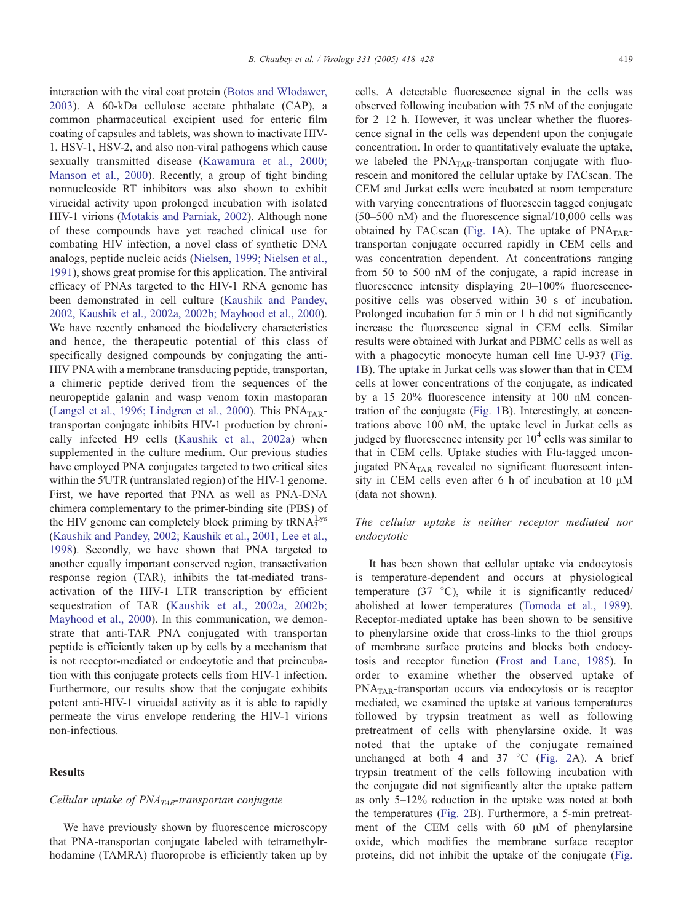interaction with the viral coat protein (Botos and Wlodawer, 2003). A 60-kDa cellulose acetate phthalate (CAP), a common pharmaceutical excipient used for enteric film coating of capsules and tablets, was shown to inactivate HIV-1, HSV-1, HSV-2, and also non-viral pathogens which cause sexually transmitted disease (Kawamura et al., 2000; Manson et al., 2000). Recently, a group of tight binding nonnucleoside RT inhibitors was also shown to exhibit virucidal activity upon prolonged incubation with isolated HIV-1 virions (Motakis and Parniak, 2002). Although none of these compounds have yet reached clinical use for combating HIV infection, a novel class of synthetic DNA analogs, peptide nucleic acids (Nielsen, 1999; Nielsen et al., 1991), shows great promise for this application. The antiviral efficacy of PNAs targeted to the HIV-1 RNA genome has been demonstrated in cell culture (Kaushik and Pandey, 2002, Kaushik et al., 2002a, 2002b; Mayhood et al., 2000). We have recently enhanced the biodelivery characteristics and hence, the therapeutic potential of this class of specifically designed compounds by conjugating the anti-HIV PNA with a membrane transducing peptide, transportan, a chimeric peptide derived from the sequences of the neuropeptide galanin and wasp venom toxin mastoparan (Langel et al., 1996; Lindgren et al., 2000). This PNA<sub>TAR</sub>transportan conjugate inhibits HIV-1 production by chronically infected H9 cells (Kaushik et al., 2002a) when supplemented in the culture medium. Our previous studies have employed PNA conjugates targeted to two critical sites within the 5′UTR (untranslated region) of the HIV-1 genome. First, we have reported that PNA as well as PNA-DNA chimera complementary to the primer-binding site (PBS) of the HIV genome can completely block priming by  $\text{tRNA}_3^{\text{Lys}}$ (Kaushik and Pandey, 2002; Kaushik et al., 2001, Lee et al., 1998). Secondly, we have shown that PNA targeted to another equally important conserved region, transactivation response region (TAR), inhibits the tat-mediated transactivation of the HIV-1 LTR transcription by efficient sequestration of TAR (Kaushik et al., 2002a, 2002b; Mayhood et al., 2000). In this communication, we demonstrate that anti-TAR PNA conjugated with transportan peptide is efficiently taken up by cells by a mechanism that is not receptor-mediated or endocytotic and that preincubation with this conjugate protects cells from HIV-1 infection. Furthermore, our results show that the conjugate exhibits potent anti-HIV-1 virucidal activity as it is able to rapidly permeate the virus envelope rendering the HIV-1 virions non-infectious.

## **Results**

## *Cellular uptake of PNATAR-transportan conjugate*

We have previously shown by fluorescence microscopy that PNA-transportan conjugate labeled with tetramethylrhodamine (TAMRA) fluoroprobe is efficiently taken up by cells. A detectable fluorescence signal in the cells was observed following incubation with 75 nM of the conjugate for 2–12 h. However, it was unclear whether the fluorescence signal in the cells was dependent upon the conjugate concentration. In order to quantitatively evaluate the uptake, we labeled the PNA<sub>TAR</sub>-transportan conjugate with fluorescein and monitored the cellular uptake by FACscan. The CEM and Jurkat cells were incubated at room temperature with varying concentrations of fluorescein tagged conjugate (50–500 nM) and the fluorescence signal/10,000 cells was obtained by FACscan (Fig. 1A). The uptake of  $PNA<sub>TAR</sub>$ transportan conjugate occurred rapidly in CEM cells and was concentration dependent. At concentrations ranging from 50 to 500 nM of the conjugate, a rapid increase in fluorescence intensity displaying 20–100% fluorescencepositive cells was observed within 30 s of incubation. Prolonged incubation for 5 min or 1 h did not significantly increase the fluorescence signal in CEM cells. Similar results were obtained with Jurkat and PBMC cells as well as with a phagocytic monocyte human cell line U-937 (Fig. 1B). The uptake in Jurkat cells was slower than that in CEM cells at lower concentrations of the conjugate, as indicated by a 15–20% fluorescence intensity at 100 nM concentration of the conjugate (Fig. 1B). Interestingly, at concentrations above 100 nM, the uptake level in Jurkat cells as judged by fluorescence intensity per  $10<sup>4</sup>$  cells was similar to that in CEM cells. Uptake studies with Flu-tagged unconjugated  $PNA<sub>TAR</sub>$  revealed no significant fluorescent intensity in CEM cells even after 6 h of incubation at 10  $\mu$ M (data not shown).

# *The cellular uptake is neither receptor mediated nor endocytotic*

It has been shown that cellular uptake via endocytosis is temperature-dependent and occurs at physiological temperature (37  $\degree$ C), while it is significantly reduced/ abolished at lower temperatures (Tomoda et al., 1989). Receptor-mediated uptake has been shown to be sensitive to phenylarsine oxide that cross-links to the thiol groups of membrane surface proteins and blocks both endocytosis and receptor function (Frost and Lane, 1985). In order to examine whether the observed uptake of PNATAR-transportan occurs via endocytosis or is receptor mediated, we examined the uptake at various temperatures followed by trypsin treatment as well as following pretreatment of cells with phenylarsine oxide. It was noted that the uptake of the conjugate remained unchanged at both 4 and  $37 \degree C$  (Fig. 2A). A brief trypsin treatment of the cells following incubation with the conjugate did not significantly alter the uptake pattern as only 5–12% reduction in the uptake was noted at both the temperatures (Fig. 2B). Furthermore, a 5-min pretreatment of the CEM cells with  $60 \mu M$  of phenylarsine oxide, which modifies the membrane surface receptor proteins, did not inhibit the uptake of the conjugate (Fig.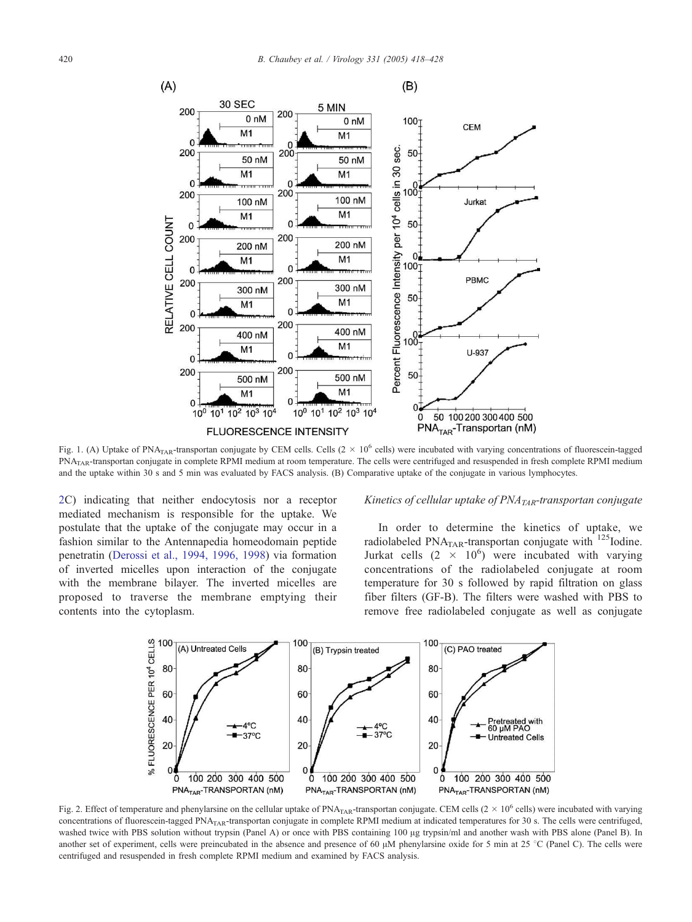

Fig. 1. (A) Uptake of PNA<sub>TAR</sub>-transportan conjugate by CEM cells. Cells  $(2 \times 10^6 \text{ cells})$  were incubated with varying concentrations of fluorescein-tagged PNATAR-transportan conjugate in complete RPMI medium at room temperature. The cells were centrifuged and resuspended in fresh complete RPMI medium and the uptake within 30 s and 5 min was evaluated by FACS analysis. (B) Comparative uptake of the conjugate in various lymphocytes.

2C) indicating that neither endocytosis nor a receptor mediated mechanism is responsible for the uptake. We postulate that the uptake of the conjugate may occur in a fashion similar to the Antennapedia homeodomain peptide penetratin (Derossi et al., 1994, 1996, 1998) via formation of inverted micelles upon interaction of the conjugate with the membrane bilayer. The inverted micelles are proposed to traverse the membrane emptying their contents into the cytoplasm.

## *Kinetics of cellular uptake of PNATAR-transportan conjugate*

In order to determine the kinetics of uptake, we radiolabeled PNA $_{\text{TAR}}$ -transportan conjugate with  $^{125}$ Iodine. Jurkat cells  $(2 \times 10^6)$  were incubated with varying concentrations of the radiolabeled conjugate at room temperature for 30 s followed by rapid filtration on glass fiber filters (GF-B). The filters were washed with PBS to remove free radiolabeled conjugate as well as conjugate



Fig. 2. Effect of temperature and phenylarsine on the cellular uptake of PNA<sub>TAR</sub>-transportan conjugate. CEM cells  $(2 \times 10^6$  cells) were incubated with varying concentrations of fluorescein-tagged  $PNA<sub>TAR</sub>$ -transportan conjugate in complete RPMI medium at indicated temperatures for 30 s. The cells were centrifuged, washed twice with PBS solution without trypsin (Panel A) or once with PBS containing 100 µg trypsin/ml and another wash with PBS alone (Panel B). In another set of experiment, cells were preincubated in the absence and presence of 60  $\mu$ M phenylarsine oxide for 5 min at 25 °C (Panel C). The cells were centrifuged and resuspended in fresh complete RPMI medium and examined by FACS analysis.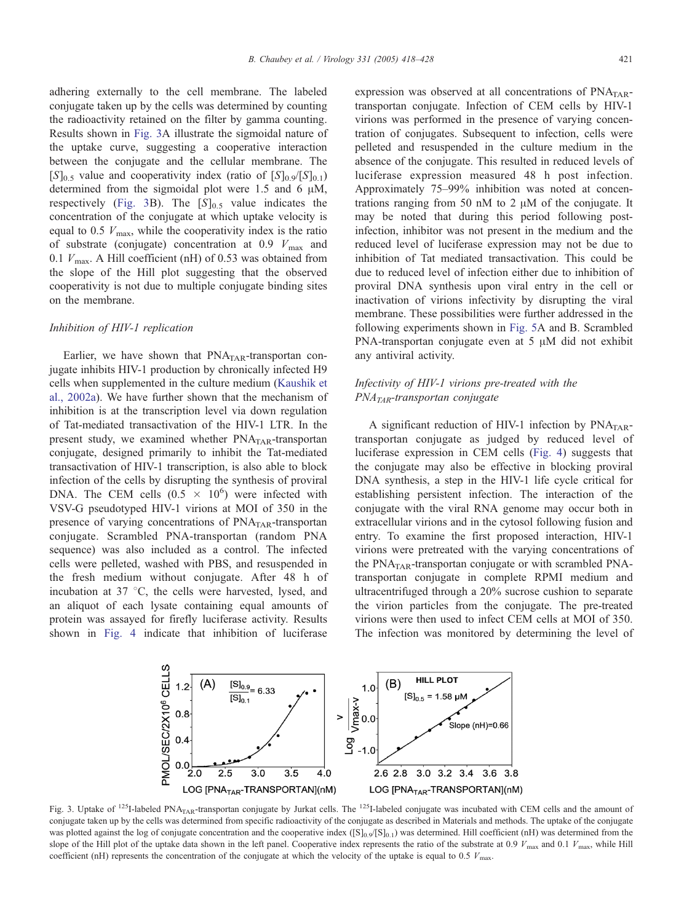adhering externally to the cell membrane. The labeled conjugate taken up by the cells was determined by counting the radioactivity retained on the filter by gamma counting. Results shown in Fig. 3A illustrate the sigmoidal nature of the uptake curve, suggesting a cooperative interaction between the conjugate and the cellular membrane. The  $[S]_{0.5}$  value and cooperativity index (ratio of  $[S]_{0.9}/[S]_{0.1}$ ) determined from the sigmoidal plot were 1.5 and 6  $\mu$ M, respectively (Fig. 3B). The  $[S]_{0.5}$  value indicates the concentration of the conjugate at which uptake velocity is equal to 0.5  $V_{\text{max}}$ , while the cooperativity index is the ratio of substrate (conjugate) concentration at 0.9  $V_{\text{max}}$  and 0.1  $V_{\text{max}}$ . A Hill coefficient (nH) of 0.53 was obtained from the slope of the Hill plot suggesting that the observed cooperativity is not due to multiple conjugate binding sites on the membrane.

#### *Inhibition of HIV-1 replication*

Earlier, we have shown that  $PNA<sub>TAR</sub>$ -transportan conjugate inhibits HIV-1 production by chronically infected H9 cells when supplemented in the culture medium (Kaushik et al., 2002a). We have further shown that the mechanism of inhibition is at the transcription level via down regulation of Tat-mediated transactivation of the HIV-1 LTR. In the present study, we examined whether  $PNA<sub>TAR</sub>$ -transportan conjugate, designed primarily to inhibit the Tat-mediated transactivation of HIV-1 transcription, is also able to block infection of the cells by disrupting the synthesis of proviral DNA. The CEM cells  $(0.5 \times 10^6)$  were infected with VSV-G pseudotyped HIV-1 virions at MOI of 350 in the presence of varying concentrations of  $PNA<sub>TAR</sub>$ -transportan conjugate. Scrambled PNA-transportan (random PNA sequence) was also included as a control. The infected cells were pelleted, washed with PBS, and resuspended in the fresh medium without conjugate. After 48 h of incubation at  $37 \text{ °C}$ , the cells were harvested, lysed, and an aliquot of each lysate containing equal amounts of protein was assayed for firefly luciferase activity. Results shown in Fig. 4 indicate that inhibition of luciferase

expression was observed at all concentrations of  $PNA<sub>TAR</sub>$ transportan conjugate. Infection of CEM cells by HIV-1 virions was performed in the presence of varying concentration of conjugates. Subsequent to infection, cells were pelleted and resuspended in the culture medium in the absence of the conjugate. This resulted in reduced levels of luciferase expression measured 48 h post infection. Approximately 75–99% inhibition was noted at concentrations ranging from 50 nM to 2  $\mu$ M of the conjugate. It may be noted that during this period following postinfection, inhibitor was not present in the medium and the reduced level of luciferase expression may not be due to inhibition of Tat mediated transactivation. This could be due to reduced level of infection either due to inhibition of proviral DNA synthesis upon viral entry in the cell or inactivation of virions infectivity by disrupting the viral membrane. These possibilities were further addressed in the following experiments shown in Fig. 5A and B. Scrambled PNA-transportan conjugate even at  $5 \mu M$  did not exhibit any antiviral activity.

# *Infectivity of HIV-1 virions pre-treated with the PNATAR-transportan conjugate*

A significant reduction of HIV-1 infection by PNA<sub>TAR</sub>transportan conjugate as judged by reduced level of luciferase expression in CEM cells (Fig. 4) suggests that the conjugate may also be effective in blocking proviral DNA synthesis, a step in the HIV-1 life cycle critical for establishing persistent infection. The interaction of the conjugate with the viral RNA genome may occur both in extracellular virions and in the cytosol following fusion and entry. To examine the first proposed interaction, HIV-1 virions were pretreated with the varying concentrations of the  $PNA<sub>TAR</sub>$ -transportan conjugate or with scrambled  $PNA$ transportan conjugate in complete RPMI medium and ultracentrifuged through a 20% sucrose cushion to separate the virion particles from the conjugate. The pre-treated virions were then used to infect CEM cells at MOI of 350. The infection was monitored by determining the level of



Fig. 3. Uptake of <sup>125</sup>I-labeled PNA<sub>TAR</sub>-transportan conjugate by Jurkat cells. The <sup>125</sup>I-labeled conjugate was incubated with CEM cells and the amount of conjugate taken up by the cells was determined from specific radioactivity of the conjugate as described in Materials and methods. The uptake of the conjugate was plotted against the log of conjugate concentration and the cooperative index  $([S]_{0.9}/[S]_{0.1})$  was determined. Hill coefficient (nH) was determined from the slope of the Hill plot of the uptake data shown in the left panel. Cooperative index represents the ratio of the substrate at 0.9  $V_{\text{max}}$  and 0.1  $V_{\text{max}}$ , while Hill coefficient (nH) represents the concentration of the conjugate at which the velocity of the uptake is equal to 0.5 *V*max.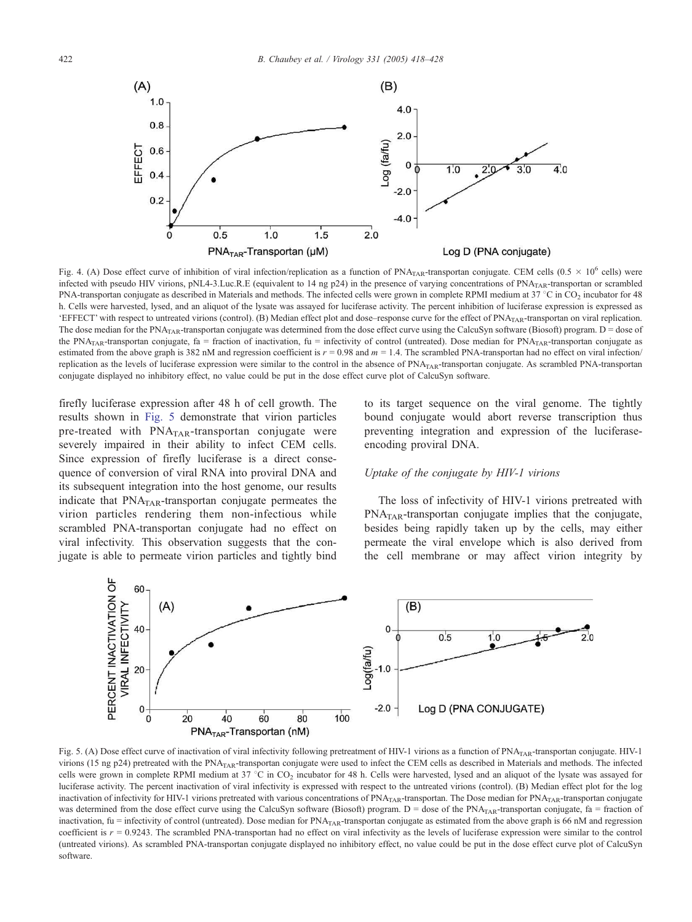

Fig. 4. (A) Dose effect curve of inhibition of viral infection/replication as a function of  $PNA<sub>TAR</sub>$ -transportan conjugate. CEM cells  $(0.5 \times 10^6 \text{ cells})$  were infected with pseudo HIV virions, pNL4-3.Luc.R.E (equivalent to 14 ng p24) in the presence of varying concentrations of PNA<sub>TAR</sub>-transportan or scrambled PNA-transportan conjugate as described in Materials and methods. The infected cells were grown in complete RPMI medium at  $37^{\circ}$ C in CO<sub>2</sub> incubator for 48 h. Cells were harvested, lysed, and an aliquot of the lysate was assayed for luciferase activity. The percent inhibition of luciferase expression is expressed as EFFECT' with respect to untreated virions (control). (B) Median effect plot and dose–response curve for the effect of PNA<sub>TAR</sub>-transportan on viral replication. The dose median for the PNA<sub>TAR</sub>-transportan conjugate was determined from the dose effect curve using the CalcuSyn software (Biosoft) program. D = dose of the PNA<sub>TAR</sub>-transportan conjugate, fa = fraction of inactivation, fu = infectivity of control (untreated). Dose median for PNA<sub>TAR</sub>-transportan conjugate as estimated from the above graph is 382 nM and regression coefficient is  $r = 0.98$  and  $m = 1.4$ . The scrambled PNA-transportan had no effect on viral infection/ replication as the levels of luciferase expression were similar to the control in the absence of PNA<sub>TAR</sub>-transportan conjugate. As scrambled PNA-transportan conjugate displayed no inhibitory effect, no value could be put in the dose effect curve plot of CalcuSyn software.

firefly luciferase expression after 48 h of cell growth. The results shown in Fig. 5 demonstrate that virion particles pre-treated with PNA<sub>TAR</sub>-transportan conjugate were severely impaired in their ability to infect CEM cells. Since expression of firefly luciferase is a direct consequence of conversion of viral RNA into proviral DNA and its subsequent integration into the host genome, our results indicate that  $PNA<sub>TAR</sub>$ -transportan conjugate permeates the virion particles rendering them non-infectious while scrambled PNA-transportan conjugate had no effect on viral infectivity*.* This observation suggests that the conjugate is able to permeate virion particles and tightly bind to its target sequence on the viral genome. The tightly bound conjugate would abort reverse transcription thus preventing integration and expression of the luciferaseencoding proviral DNA.

## *Uptake of the conjugate by HIV-1 virions*

The loss of infectivity of HIV-1 virions pretreated with  $PNA<sub>TAR</sub>$ -transportan conjugate implies that the conjugate, besides being rapidly taken up by the cells, may either permeate the viral envelope which is also derived from the cell membrane or may affect virion integrity by



Fig. 5. (A) Dose effect curve of inactivation of viral infectivity following pretreatment of HIV-1 virions as a function of PNA<sub>TAR</sub>-transportan conjugate. HIV-1 virions (15 ng p24) pretreated with the PNA<sub>TAR</sub>-transportan conjugate were used to infect the CEM cells as described in Materials and methods. The infected cells were grown in complete RPMI medium at 37 °C in CO<sub>2</sub> incubator for 48 h. Cells were harvested, lysed and an aliquot of the lysate was assayed for luciferase activity. The percent inactivation of viral infectivity is expressed with respect to the untreated virions (control). (B) Median effect plot for the log inactivation of infectivity for HIV-1 virions pretreated with various concentrations of  $PNA<sub>TAR</sub>$ -transportan. The Dose median for  $PNA<sub>TAR</sub>$ -transportan conjugate was determined from the dose effect curve using the CalcuSyn software (Biosoft) program.  $D =$  dose of the PNA<sub>TAR</sub>-transportan conjugate, fa = fraction of inactivation, fu = infectivity of control (untreated). Dose median for  $PNA<sub>TAR</sub>$ -transportan conjugate as estimated from the above graph is 66 nM and regression coefficient is  $r = 0.9243$ . The scrambled PNA-transportan had no effect on viral infectivity as the levels of luciferase expression were similar to the control (untreated virions). As scrambled PNA-transportan conjugate displayed no inhibitory effect, no value could be put in the dose effect curve plot of CalcuSyn software.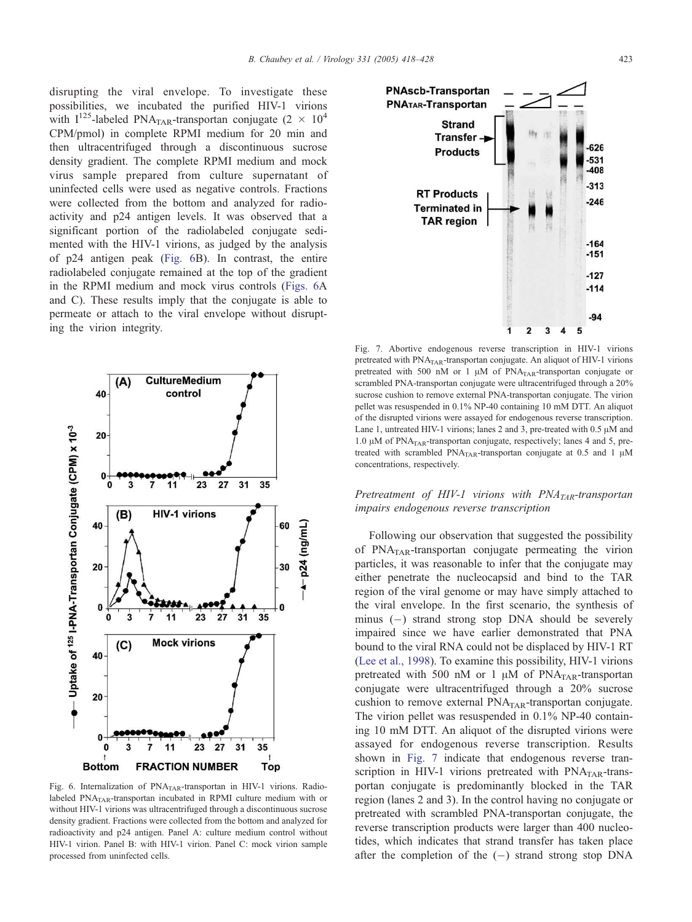disrupting the viral envelope. To investigate these possibilities, we incubated the purified HIV-1 virions with  $I^{125}$ -labeled PNA<sub>TAR</sub>-transportan conjugate (2  $\times$  10<sup>4</sup>) CPM/pmol) in complete RPMI medium for 20 min and then ultracentrifuged through a discontinuous sucrose density gradient. The complete RPMI medium and mock virus sample prepared from culture supernatant of uninfected cells were used as negative controls. Fractions were collected from the bottom and analyzed for radioactivity and p24 antigen levels. It was observed that a significant portion of the radiolabeled conjugate sedimented with the HIV-1 virions, as judged by the analysis of p24 antigen peak (Fig. 6B). In contrast, the entire radiolabeled conjugate remained at the top of the gradient in the RPMI medium and mock virus controls (Figs. 6A and C). These results imply that the conjugate is able to permeate or attach to the viral envelope without disrupting the virion integrity.



Fig. 6. Internalization of PNATAR-transportan in HIV-1 virions. Radiolabeled  $PNA<sub>TAR</sub>$ -transportan incubated in RPMI culture medium with or without HIV-1 virions was ultracentrifuged through a discontinuous sucrose density gradient. Fractions were collected from the bottom and analyzed for radioactivity and p24 antigen. Panel A: culture medium control without HIV-1 virion. Panel B: with HIV-1 virion. Panel C: mock virion sample processed from uninfected cells.



Fig. 7. Abortive endogenous reverse transcription in HIV-1 virions pretreated with PNA<sub>TAR</sub>-transportan conjugate. An aliquot of HIV-1 virions pretreated with 500 nM or 1  $\mu$ M of PNA<sub>TAR</sub>-transportan conjugate or scrambled PNA-transportan conjugate were ultracentrifuged through a 20% sucrose cushion to remove external PNA-transportan conjugate. The virion pellet was resuspended in 0.1% NP-40 containing 10 mM DTT. An aliquot of the disrupted virions were assayed for endogenous reverse transcription. Lane 1, untreated HIV-1 virions; lanes 2 and 3, pre-treated with  $0.5 \mu M$  and 1.0  $\mu$ M of PNA<sub>TAR</sub>-transportan conjugate, respectively; lanes 4 and 5, pretreated with scrambled PNA<sub>TAR</sub>-transportan conjugate at  $0.5$  and  $1 \mu M$ concentrations, respectively.

*Pretreatment of HIV-1 virions with PNATAR-transportan impairs endogenous reverse transcription*

Following our observation that suggested the possibility of  $PNA<sub>TAR</sub>$ -transportan conjugate permeating the virion particles, it was reasonable to infer that the conjugate may either penetrate the nucleocapsid and bind to the TAR region of the viral genome or may have simply attached to the viral envelope. In the first scenario, the synthesis of minus (-) strand strong stop DNA should be severely impaired since we have earlier demonstrated that PNA bound to the viral RNA could not be displaced by HIV-1 RT (Lee et al., 1998). To examine this possibility, HIV-1 virions pretreated with 500 nM or 1  $\mu$ M of PNA<sub>TAR</sub>-transportan conjugate were ultracentrifuged through a 20% sucrose cushion to remove external  $PNA<sub>TAR</sub>$ -transportan conjugate. The virion pellet was resuspended in 0.1% NP-40 containing 10 mM DTT. An aliquot of the disrupted virions were assayed for endogenous reverse transcription. Results shown in Fig. 7 indicate that endogenous reverse transcription in HIV-1 virions pretreated with  $PNA<sub>TAR</sub>$ -transportan conjugate is predominantly blocked in the TAR region (lanes 2 and 3). In the control having no conjugate or pretreated with scrambled PNA-transportan conjugate, the reverse transcription products were larger than 400 nucleotides, which indicates that strand transfer has taken place after the completion of the  $(-)$  strand strong stop DNA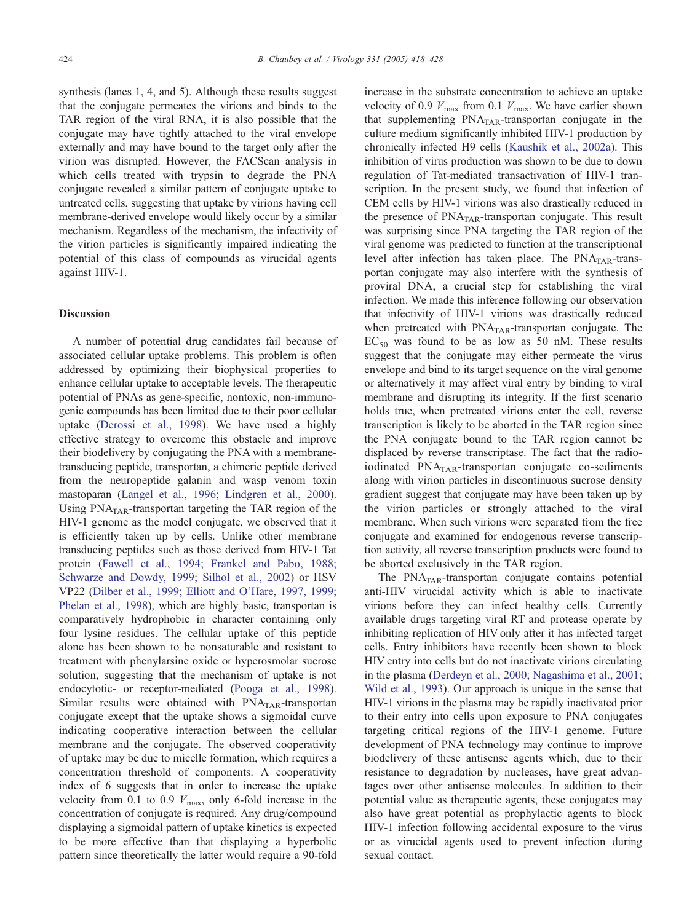synthesis (lanes 1, 4, and 5). Although these results suggest that the conjugate permeates the virions and binds to the TAR region of the viral RNA, it is also possible that the conjugate may have tightly attached to the viral envelope externally and may have bound to the target only after the virion was disrupted. However, the FACScan analysis in which cells treated with trypsin to degrade the PNA conjugate revealed a similar pattern of conjugate uptake to untreated cells, suggesting that uptake by virions having cell membrane-derived envelope would likely occur by a similar mechanism. Regardless of the mechanism, the infectivity of the virion particles is significantly impaired indicating the potential of this class of compounds as virucidal agents against HIV-1.

## Discussion

A number of potential drug candidates fail because of associated cellular uptake problems. This problem is often addressed by optimizing their biophysical properties to enhance cellular uptake to acceptable levels. The therapeutic potential of PNAs as gene-specific, nontoxic, non-immunogenic compounds has been limited due to their poor cellular uptake (Derossi et al., 1998). We have used a highly effective strategy to overcome this obstacle and improve their biodelivery by conjugating the PNA with a membranetransducing peptide, transportan, a chimeric peptide derived from the neuropeptide galanin and wasp venom toxin mastoparan (Langel et al., 1996; Lindgren et al., 2000). Using  $PNA<sub>TAR</sub>$ -transportan targeting the TAR region of the HIV-1 genome as the model conjugate, we observed that it is efficiently taken up by cells. Unlike other membrane transducing peptides such as those derived from HIV-1 Tat protein (Fawell et al., 1994; Frankel and Pabo, 1988; Schwarze and Dowdy, 1999; Silhol et al., 2002) or HSV VP22 (Dilber et al., 1999; Elliott and O'Hare, 1997, 1999; Phelan et al., 1998), which are highly basic, transportan is comparatively hydrophobic in character containing only four lysine residues. The cellular uptake of this peptide alone has been shown to be nonsaturable and resistant to treatment with phenylarsine oxide or hyperosmolar sucrose solution, suggesting that the mechanism of uptake is not endocytotic- or receptor-mediated (Pooga et al., 1998). Similar results were obtained with  $PNA<sub>TAR</sub>$ -transportan conjugate except that the uptake shows a sigmoidal curve indicating cooperative interaction between the cellular membrane and the conjugate. The observed cooperativity of uptake may be due to micelle formation, which requires a concentration threshold of components. A cooperativity index of 6 suggests that in order to increase the uptake velocity from 0.1 to 0.9  $V_{\text{max}}$ , only 6-fold increase in the concentration of conjugate is required. Any drug/compound displaying a sigmoidal pattern of uptake kinetics is expected to be more effective than that displaying a hyperbolic pattern since theoretically the latter would require a 90-fold

increase in the substrate concentration to achieve an uptake velocity of 0.9  $V_{\text{max}}$  from 0.1  $V_{\text{max}}$ . We have earlier shown that supplementing  $PNA<sub>TAR</sub>$ -transportan conjugate in the culture medium significantly inhibited HIV-1 production by chronically infected H9 cells (Kaushik et al., 2002a). This inhibition of virus production was shown to be due to down regulation of Tat-mediated transactivation of HIV-1 transcription. In the present study, we found that infection of CEM cells by HIV-1 virions was also drastically reduced in the presence of  $PNA<sub>TAR</sub>$ -transportan conjugate. This result was surprising since PNA targeting the TAR region of the viral genome was predicted to function at the transcriptional level after infection has taken place. The  $PNA<sub>TAR</sub>$ -transportan conjugate may also interfere with the synthesis of proviral DNA, a crucial step for establishing the viral infection. We made this inference following our observation that infectivity of HIV-1 virions was drastically reduced when pretreated with  $PNA<sub>TAR</sub>$ -transportan conjugate. The  $EC_{50}$  was found to be as low as 50 nM. These results suggest that the conjugate may either permeate the virus envelope and bind to its target sequence on the viral genome or alternatively it may affect viral entry by binding to viral membrane and disrupting its integrity. If the first scenario holds true, when pretreated virions enter the cell, reverse transcription is likely to be aborted in the TAR region since the PNA conjugate bound to the TAR region cannot be displaced by reverse transcriptase. The fact that the radioiodinated  $PNA<sub>TAR</sub>$ -transportan conjugate co-sediments along with virion particles in discontinuous sucrose density gradient suggest that conjugate may have been taken up by the virion particles or strongly attached to the viral membrane. When such virions were separated from the free conjugate and examined for endogenous reverse transcription activity, all reverse transcription products were found to be aborted exclusively in the TAR region.

The PNA<sub>TAR</sub>-transportan conjugate contains potential anti-HIV virucidal activity which is able to inactivate virions before they can infect healthy cells. Currently available drugs targeting viral RT and protease operate by inhibiting replication of HIV only after it has infected target cells. Entry inhibitors have recently been shown to block HIV entry into cells but do not inactivate virions circulating in the plasma (Derdeyn et al., 2000; Nagashima et al., 2001; Wild et al., 1993). Our approach is unique in the sense that HIV-1 virions in the plasma may be rapidly inactivated prior to their entry into cells upon exposure to PNA conjugates targeting critical regions of the HIV-1 genome. Future development of PNA technology may continue to improve biodelivery of these antisense agents which, due to their resistance to degradation by nucleases, have great advantages over other antisense molecules. In addition to their potential value as therapeutic agents, these conjugates may also have great potential as prophylactic agents to block HIV-1 infection following accidental exposure to the virus or as virucidal agents used to prevent infection during sexual contact.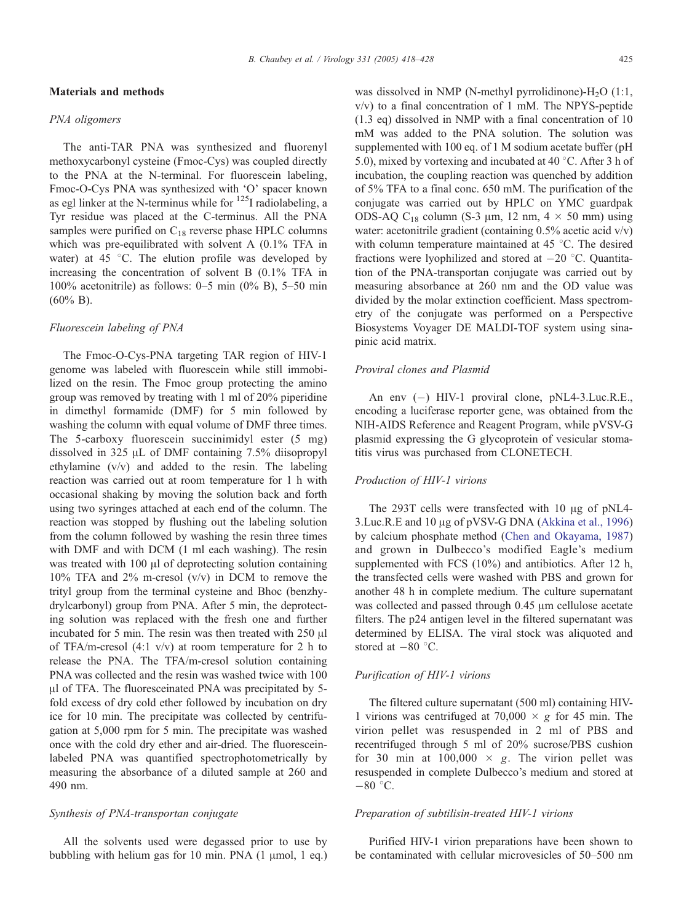## Materials and methods

#### *PNA oligomers*

The anti-TAR PNA was synthesized and fluorenyl methoxycarbonyl cysteine (Fmoc-Cys) was coupled directly to the PNA at the N-terminal. For fluorescein labeling, Fmoc-O-Cys PNA was synthesized with 'O' spacer known as egl linker at the N-terminus while for  $^{125}$ I radiolabeling, a Tyr residue was placed at the C-terminus. All the PNA samples were purified on  $C_{18}$  reverse phase HPLC columns which was pre-equilibrated with solvent A (0.1% TFA in water) at  $45\degree$ C. The elution profile was developed by increasing the concentration of solvent B (0.1% TFA in 100% acetonitrile) as follows: 0–5 min  $(0\%$  B), 5–50 min (60% B).

## *Fluorescein labeling of PNA*

The Fmoc-O-Cys-PNA targeting TAR region of HIV-1 genome was labeled with fluorescein while still immobilized on the resin. The Fmoc group protecting the amino group was removed by treating with 1 ml of 20% piperidine in dimethyl formamide (DMF) for 5 min followed by washing the column with equal volume of DMF three times. The 5-carboxy fluorescein succinimidyl ester (5 mg) dissolved in 325  $\mu$ L of DMF containing 7.5% diisopropyl ethylamine (v/v) and added to the resin. The labeling reaction was carried out at room temperature for 1 h with occasional shaking by moving the solution back and forth using two syringes attached at each end of the column. The reaction was stopped by flushing out the labeling solution from the column followed by washing the resin three times with DMF and with DCM (1 ml each washing). The resin was treated with  $100 \mu l$  of deprotecting solution containing  $10\%$  TFA and  $2\%$  m-cresol (v/v) in DCM to remove the trityl group from the terminal cysteine and Bhoc (benzhydrylcarbonyl) group from PNA. After 5 min, the deprotecting solution was replaced with the fresh one and further incubated for 5 min. The resin was then treated with  $250 \mu l$ of TFA/m-cresol  $(4:1 \text{ v/v})$  at room temperature for 2 h to release the PNA. The TFA/m-cresol solution containing PNA was collected and the resin was washed twice with 100 Al of TFA. The fluoresceinated PNA was precipitated by 5 fold excess of dry cold ether followed by incubation on dry ice for 10 min. The precipitate was collected by centrifugation at 5,000 rpm for 5 min. The precipitate was washed once with the cold dry ether and air-dried. The fluoresceinlabeled PNA was quantified spectrophotometrically by measuring the absorbance of a diluted sample at 260 and 490 nm.

#### *Synthesis of PNA-transportan conjugate*

All the solvents used were degassed prior to use by bubbling with helium gas for 10 min. PNA  $(1 \mu \text{mol}, 1 \text{ eq.})$  was dissolved in NMP (N-methyl pyrrolidinone)- $H_2O$  (1:1, v/v) to a final concentration of 1 mM. The NPYS-peptide (1.3 eq) dissolved in NMP with a final concentration of 10 mM was added to the PNA solution. The solution was supplemented with 100 eq. of 1 M sodium acetate buffer (pH 5.0), mixed by vortexing and incubated at 40  $\degree$ C. After 3 h of incubation, the coupling reaction was quenched by addition of 5% TFA to a final conc. 650 mM. The purification of the conjugate was carried out by HPLC on YMC guardpak ODS-AQ C<sub>18</sub> column (S-3  $\mu$ m, 12 nm, 4  $\times$  50 mm) using water: acetonitrile gradient (containing 0.5% acetic acid v/v) with column temperature maintained at  $45^{\circ}$ C. The desired fractions were lyophilized and stored at  $-20$  °C. Quantitation of the PNA-transportan conjugate was carried out by measuring absorbance at 260 nm and the OD value was divided by the molar extinction coefficient. Mass spectrometry of the conjugate was performed on a Perspective Biosystems Voyager DE MALDI-TOF system using sinapinic acid matrix.

## *Proviral clones and Plasmid*

An env (-) HIV-1 proviral clone, pNL4-3.Luc.R.E., encoding a luciferase reporter gene, was obtained from the NIH-AIDS Reference and Reagent Program, while pVSV-G plasmid expressing the G glycoprotein of vesicular stomatitis virus was purchased from CLONETECH.

## *Production of HIV-1 virions*

The 293T cells were transfected with  $10 \mu$ g of pNL4-3.Luc.R.E and 10 µg of pVSV-G DNA (Akkina et al., 1996) by calcium phosphate method (Chen and Okayama, 1987) and grown in Dulbecco's modified Eagle's medium supplemented with FCS (10%) and antibiotics. After 12 h, the transfected cells were washed with PBS and grown for another 48 h in complete medium. The culture supernatant was collected and passed through 0.45  $\mu$ m cellulose acetate filters. The p24 antigen level in the filtered supernatant was determined by ELISA. The viral stock was aliquoted and stored at  $-80$  °C.

## *Purification of HIV-1 virions*

The filtered culture supernatant (500 ml) containing HIV-1 virions was centrifuged at  $70,000 \times g$  for 45 min. The virion pellet was resuspended in 2 ml of PBS and recentrifuged through 5 ml of 20% sucrose/PBS cushion for 30 min at  $100,000 \times g$ . The virion pellet was resuspended in complete Dulbecco's medium and stored at  $-80$  °C.

#### *Preparation of subtilisin-treated HIV-1 virions*

Purified HIV-1 virion preparations have been shown to be contaminated with cellular microvesicles of 50–500 nm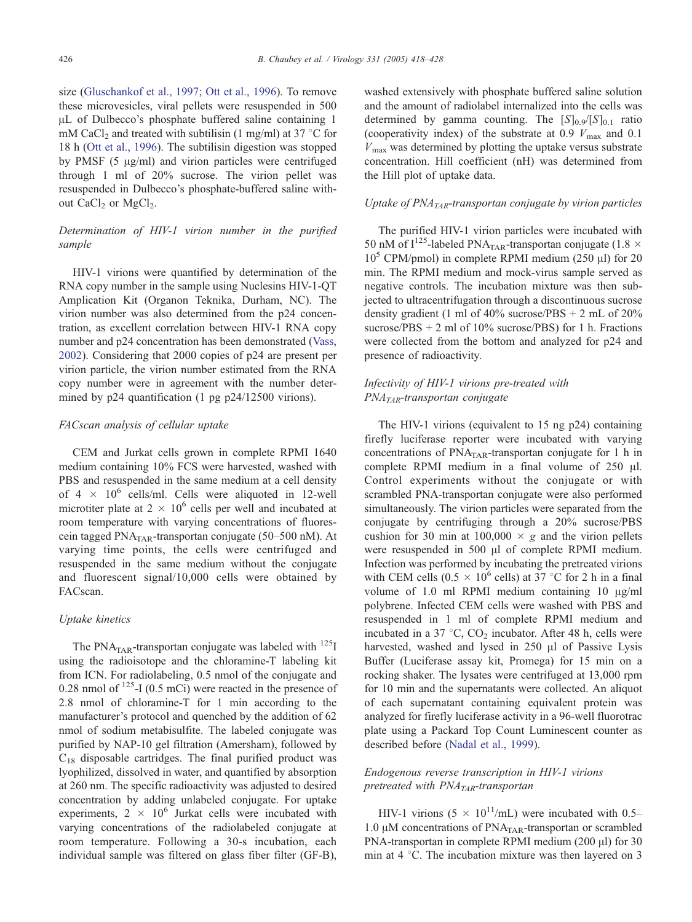size (Gluschankof et al., 1997; Ott et al., 1996). To remove these microvesicles, viral pellets were resuspended in 500 AL of Dulbecco's phosphate buffered saline containing 1 mM CaCl<sub>2</sub> and treated with subtilisin (1 mg/ml) at 37  $\degree$ C for 18 h (Ott et al., 1996). The subtilisin digestion was stopped by PMSF  $(5 \mu g/ml)$  and virion particles were centrifuged through 1 ml of 20% sucrose. The virion pellet was resuspended in Dulbecco's phosphate-buffered saline without  $CaCl<sub>2</sub>$  or  $MgCl<sub>2</sub>$ .

## *Determination of HIV-1 virion number in the purified sample*

HIV-1 virions were quantified by determination of the RNA copy number in the sample using Nuclesins HIV-1-QT Amplication Kit (Organon Teknika, Durham, NC). The virion number was also determined from the p24 concentration, as excellent correlation between HIV-1 RNA copy number and p24 concentration has been demonstrated (Vass, 2002). Considering that 2000 copies of p24 are present per virion particle, the virion number estimated from the RNA copy number were in agreement with the number determined by p24 quantification (1 pg p24/12500 virions).

## *FACscan analysis of cellular uptake*

CEM and Jurkat cells grown in complete RPMI 1640 medium containing 10% FCS were harvested, washed with PBS and resuspended in the same medium at a cell density of  $4 \times 10^6$  cells/ml. Cells were aliquoted in 12-well microtiter plate at  $2 \times 10^6$  cells per well and incubated at room temperature with varying concentrations of fluorescein tagged PNA<sub>TAR</sub>-transportan conjugate (50–500 nM). At varying time points, the cells were centrifuged and resuspended in the same medium without the conjugate and fluorescent signal/10,000 cells were obtained by FACscan.

## *Uptake kinetics*

The PNA<sub>TAR</sub>-transportan conjugate was labeled with  $^{125}I$ using the radioisotope and the chloramine-T labeling kit from ICN. For radiolabeling, 0.5 nmol of the conjugate and 0.28 nmol of  $^{125}$ -I (0.5 mCi) were reacted in the presence of 2.8 nmol of chloramine-T for 1 min according to the manufacturer's protocol and quenched by the addition of 62 nmol of sodium metabisulfite. The labeled conjugate was purified by NAP-10 gel filtration (Amersham), followed by  $C_{18}$  disposable cartridges. The final purified product was lyophilized, dissolved in water, and quantified by absorption at 260 nm. The specific radioactivity was adjusted to desired concentration by adding unlabeled conjugate. For uptake experiments,  $2 \times 10^6$  Jurkat cells were incubated with varying concentrations of the radiolabeled conjugate at room temperature. Following a 30-s incubation, each individual sample was filtered on glass fiber filter (GF-B),

washed extensively with phosphate buffered saline solution and the amount of radiolabel internalized into the cells was determined by gamma counting. The  $[S]_{0.9}/[S]_{0.1}$  ratio (cooperativity index) of the substrate at 0.9  $V_{\text{max}}$  and 0.1  $V_{\text{max}}$  was determined by plotting the uptake versus substrate concentration. Hill coefficient (nH) was determined from the Hill plot of uptake data.

## *Uptake of PNATAR-transportan conjugate by virion particles*

The purified HIV-1 virion particles were incubated with 50 nM of  $I^{125}$ -labeled PNA<sub>TAR</sub>-transportan conjugate (1.8  $\times$  $10^5$  CPM/pmol) in complete RPMI medium (250  $\mu$ I) for 20 min. The RPMI medium and mock-virus sample served as negative controls. The incubation mixture was then subjected to ultracentrifugation through a discontinuous sucrose density gradient (1 ml of  $40\%$  sucrose/PBS + 2 mL of  $20\%$ sucrose/PBS + 2 ml of 10% sucrose/PBS) for 1 h. Fractions were collected from the bottom and analyzed for p24 and presence of radioactivity.

# *Infectivity of HIV-1 virions pre-treated with PNATAR-transportan conjugate*

The HIV-1 virions (equivalent to 15 ng p24) containing firefly luciferase reporter were incubated with varying concentrations of PNA<sub>TAR</sub>-transportan conjugate for 1 h in complete RPMI medium in a final volume of  $250$   $\mu$ l. Control experiments without the conjugate or with scrambled PNA-transportan conjugate were also performed simultaneously. The virion particles were separated from the conjugate by centrifuging through a 20% sucrose/PBS cushion for 30 min at  $100,000 \times g$  and the virion pellets were resuspended in 500  $\mu$ l of complete RPMI medium. Infection was performed by incubating the pretreated virions with CEM cells  $(0.5 \times 10^6 \text{ cells})$  at 37 °C for 2 h in a final volume of 1.0 ml RPMI medium containing 10  $\mu$ g/ml polybrene. Infected CEM cells were washed with PBS and resuspended in 1 ml of complete RPMI medium and incubated in a 37  $\degree$ C, CO<sub>2</sub> incubator. After 48 h, cells were harvested, washed and lysed in 250 µl of Passive Lysis Buffer (Luciferase assay kit, Promega) for 15 min on a rocking shaker. The lysates were centrifuged at 13,000 rpm for 10 min and the supernatants were collected. An aliquot of each supernatant containing equivalent protein was analyzed for firefly luciferase activity in a 96-well fluorotrac plate using a Packard Top Count Luminescent counter as described before (Nadal et al., 1999).

# *Endogenous reverse transcription in HIV-1 virions pretreated with PNATAR-transportan*

HIV-1 virions  $(5 \times 10^{11}/mL)$  were incubated with 0.5– 1.0  $\mu$ M concentrations of PNA<sub>TAR</sub>-transportan or scrambled PNA-transportan in complete RPMI medium  $(200 \mu l)$  for 30 min at  $4^{\circ}$ C. The incubation mixture was then layered on 3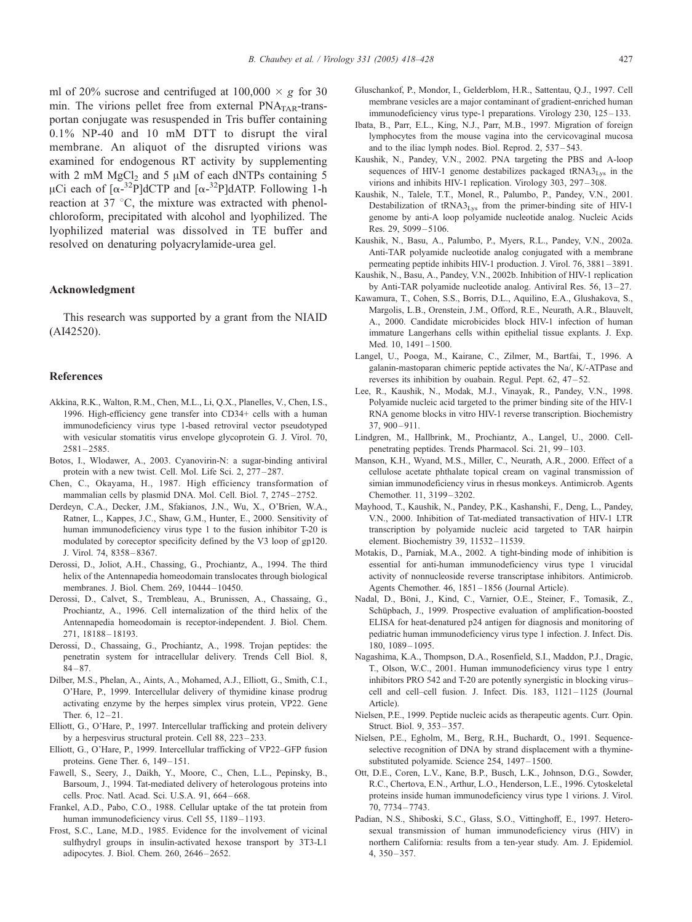ml of 20% sucrose and centrifuged at  $100,000 \times g$  for 30 min. The virions pellet free from external  $PNA<sub>TAR</sub>$ -transportan conjugate was resuspended in Tris buffer containing 0.1% NP-40 and 10 mM DTT to disrupt the viral membrane. An aliquot of the disrupted virions was examined for endogenous RT activity by supplementing with 2 mM  $MgCl<sub>2</sub>$  and 5  $\mu$ M of each dNTPs containing 5  $\mu$ Ci each of  $\left[\alpha^{-32}P\right]$ dCTP and  $\left[\alpha^{-32}P\right]$ dATP. Following 1-h reaction at  $37 \text{ °C}$ , the mixture was extracted with phenolchloroform, precipitated with alcohol and lyophilized. The lyophilized material was dissolved in TE buffer and resolved on denaturing polyacrylamide-urea gel.

## Acknowledgment

This research was supported by a grant from the NIAID (AI42520).

#### References

- Akkina, R.K., Walton, R.M., Chen, M.L., Li, Q.X., Planelles, V., Chen, I.S., 1996. High-efficiency gene transfer into CD34+ cells with a human immunodeficiency virus type 1-based retroviral vector pseudotyped with vesicular stomatitis virus envelope glycoprotein G. J. Virol. 70, 2581 – 2585.
- Botos, I., Wlodawer, A., 2003. Cyanovirin-N: a sugar-binding antiviral protein with a new twist. Cell. Mol. Life Sci. 2, 277 – 287.
- Chen, C., Okayama, H., 1987. High efficiency transformation of mammalian cells by plasmid DNA. Mol. Cell. Biol. 7, 2745 – 2752.
- Derdeyn, C.A., Decker, J.M., Sfakianos, J.N., Wu, X., O'Brien, W.A., Ratner, L., Kappes, J.C., Shaw, G.M., Hunter, E., 2000. Sensitivity of human immunodeficiency virus type 1 to the fusion inhibitor T-20 is modulated by coreceptor specificity defined by the V3 loop of gp120. J. Virol. 74, 8358 – 8367.
- Derossi, D., Joliot, A.H., Chassing, G., Prochiantz, A., 1994. The third helix of the Antennapedia homeodomain translocates through biological membranes. J. Biol. Chem. 269, 10444 – 10450.
- Derossi, D., Calvet, S., Trembleau, A., Brunissen, A., Chassaing, G., Prochiantz, A., 1996. Cell internalization of the third helix of the Antennapedia homeodomain is receptor-independent. J. Biol. Chem. 271, 18188 – 18193.
- Derossi, D., Chassaing, G., Prochiantz, A., 1998. Trojan peptides: the penetratin system for intracellular delivery. Trends Cell Biol. 8,  $84 - 87.$
- Dilber, M.S., Phelan, A., Aints, A., Mohamed, A.J., Elliott, G., Smith, C.I., O'Hare, P., 1999. Intercellular delivery of thymidine kinase prodrug activating enzyme by the herpes simplex virus protein, VP22. Gene Ther.  $6, 12 - 21.$
- Elliott, G., O'Hare, P., 1997. Intercellular trafficking and protein delivery by a herpesvirus structural protein. Cell 88, 223 – 233.
- Elliott, G., O'Hare, P., 1999. Intercellular trafficking of VP22–GFP fusion proteins. Gene Ther. 6, 149 – 151.
- Fawell, S., Seery, J., Daikh, Y., Moore, C., Chen, L.L., Pepinsky, B., Barsoum, J., 1994. Tat-mediated delivery of heterologous proteins into cells. Proc. Natl. Acad. Sci. U.S.A. 91, 664 – 668.
- Frankel, A.D., Pabo, C.O., 1988. Cellular uptake of the tat protein from human immunodeficiency virus. Cell 55, 1189-1193.
- Frost, S.C., Lane, M.D., 1985. Evidence for the involvement of vicinal sulfhydryl groups in insulin-activated hexose transport by 3T3-L1 adipocytes. J. Biol. Chem. 260, 2646 – 2652.
- Gluschankof, P., Mondor, I., Gelderblom, H.R., Sattentau, Q.J., 1997. Cell membrane vesicles are a major contaminant of gradient-enriched human immunodeficiency virus type-1 preparations. Virology 230, 125-133.
- Ibata, B., Parr, E.L., King, N.J., Parr, M.B., 1997. Migration of foreign lymphocytes from the mouse vagina into the cervicovaginal mucosa and to the iliac lymph nodes. Biol. Reprod. 2, 537 – 543.
- Kaushik, N., Pandey, V.N., 2002. PNA targeting the PBS and A-loop sequences of HIV-1 genome destabilizes packaged  $tRNA3<sub>Lys</sub>$  in the virions and inhibits HIV-1 replication. Virology 303, 297 – 308.
- Kaushik, N., Talele, T.T., Monel, R., Palumbo, P., Pandey, V.N., 2001. Destabilization of  $tRNA3<sub>Lys</sub>$  from the primer-binding site of HIV-1 genome by anti-A loop polyamide nucleotide analog. Nucleic Acids Res. 29, 5099 – 5106.
- Kaushik, N., Basu, A., Palumbo, P., Myers, R.L., Pandey, V.N., 2002a. Anti-TAR polyamide nucleotide analog conjugated with a membrane permeating peptide inhibits HIV-1 production. J. Virol. 76, 3881 – 3891.
- Kaushik, N., Basu, A., Pandey, V.N., 2002b. Inhibition of HIV-1 replication by Anti-TAR polyamide nucleotide analog. Antiviral Res. 56, 13 – 27.
- Kawamura, T., Cohen, S.S., Borris, D.L., Aquilino, E.A., Glushakova, S., Margolis, L.B., Orenstein, J.M., Offord, R.E., Neurath, A.R., Blauvelt, A., 2000. Candidate microbicides block HIV-1 infection of human immature Langerhans cells within epithelial tissue explants. J. Exp. Med. 10, 1491-1500.
- Langel, U., Pooga, M., Kairane, C., Zilmer, M., Bartfai, T., 1996. A galanin-mastoparan chimeric peptide activates the Na/, K/-ATPase and reverses its inhibition by ouabain. Regul. Pept. 62, 47 – 52.
- Lee, R., Kaushik, N., Modak, M.J., Vinayak, R., Pandey, V.N., 1998. Polyamide nucleic acid targeted to the primer binding site of the HIV-1 RNA genome blocks in vitro HIV-1 reverse transcription. Biochemistry  $37,900 - 911$
- Lindgren, M., Hallbrink, M., Prochiantz, A., Langel, U., 2000. Cellpenetrating peptides. Trends Pharmacol. Sci. 21, 99 – 103.
- Manson, K.H., Wyand, M.S., Miller, C., Neurath, A.R., 2000. Effect of a cellulose acetate phthalate topical cream on vaginal transmission of simian immunodeficiency virus in rhesus monkeys. Antimicrob. Agents Chemother. 11, 3199 – 3202.
- Mayhood, T., Kaushik, N., Pandey, P.K., Kashanshi, F., Deng, L., Pandey, V.N., 2000. Inhibition of Tat-mediated transactivation of HIV-1 LTR transcription by polyamide nucleic acid targeted to TAR hairpin element. Biochemistry 39, 11532 – 11539.
- Motakis, D., Parniak, M.A., 2002. A tight-binding mode of inhibition is essential for anti-human immunodeficiency virus type 1 virucidal activity of nonnucleoside reverse transcriptase inhibitors. Antimicrob. Agents Chemother. 46, 1851 – 1856 (Journal Article).
- Nadal, D., Böni, J., Kind, C., Varnier, O.E., Steiner, F., Tomasik, Z., Schüpbach, J., 1999. Prospective evaluation of amplification-boosted ELISA for heat-denatured p24 antigen for diagnosis and monitoring of pediatric human immunodeficiency virus type 1 infection. J. Infect. Dis. 180, 1089 – 1095.
- Nagashima, K.A., Thompson, D.A., Rosenfield, S.I., Maddon, P.J., Dragic, T., Olson, W.C., 2001. Human immunodeficiency virus type 1 entry inhibitors PRO 542 and T-20 are potently synergistic in blocking virus– cell and cell–cell fusion. J. Infect. Dis. 183, 1121 – 1125 (Journal Article).
- Nielsen, P.E., 1999. Peptide nucleic acids as therapeutic agents. Curr. Opin. Struct. Biol. 9, 353 – 357.
- Nielsen, P.E., Egholm, M., Berg, R.H., Buchardt, O., 1991. Sequenceselective recognition of DNA by strand displacement with a thyminesubstituted polyamide. Science 254, 1497 – 1500.
- Ott, D.E., Coren, L.V., Kane, B.P., Busch, L.K., Johnson, D.G., Sowder, R.C., Chertova, E.N., Arthur, L.O., Henderson, L.E., 1996. Cytoskeletal proteins inside human immunodeficiency virus type 1 virions. J. Virol. 70, 7734 – 7743.
- Padian, N.S., Shiboski, S.C., Glass, S.O., Vittinghoff, E., 1997. Heterosexual transmission of human immunodeficiency virus (HIV) in northern California: results from a ten-year study. Am. J. Epidemiol. 4, 350 – 357.